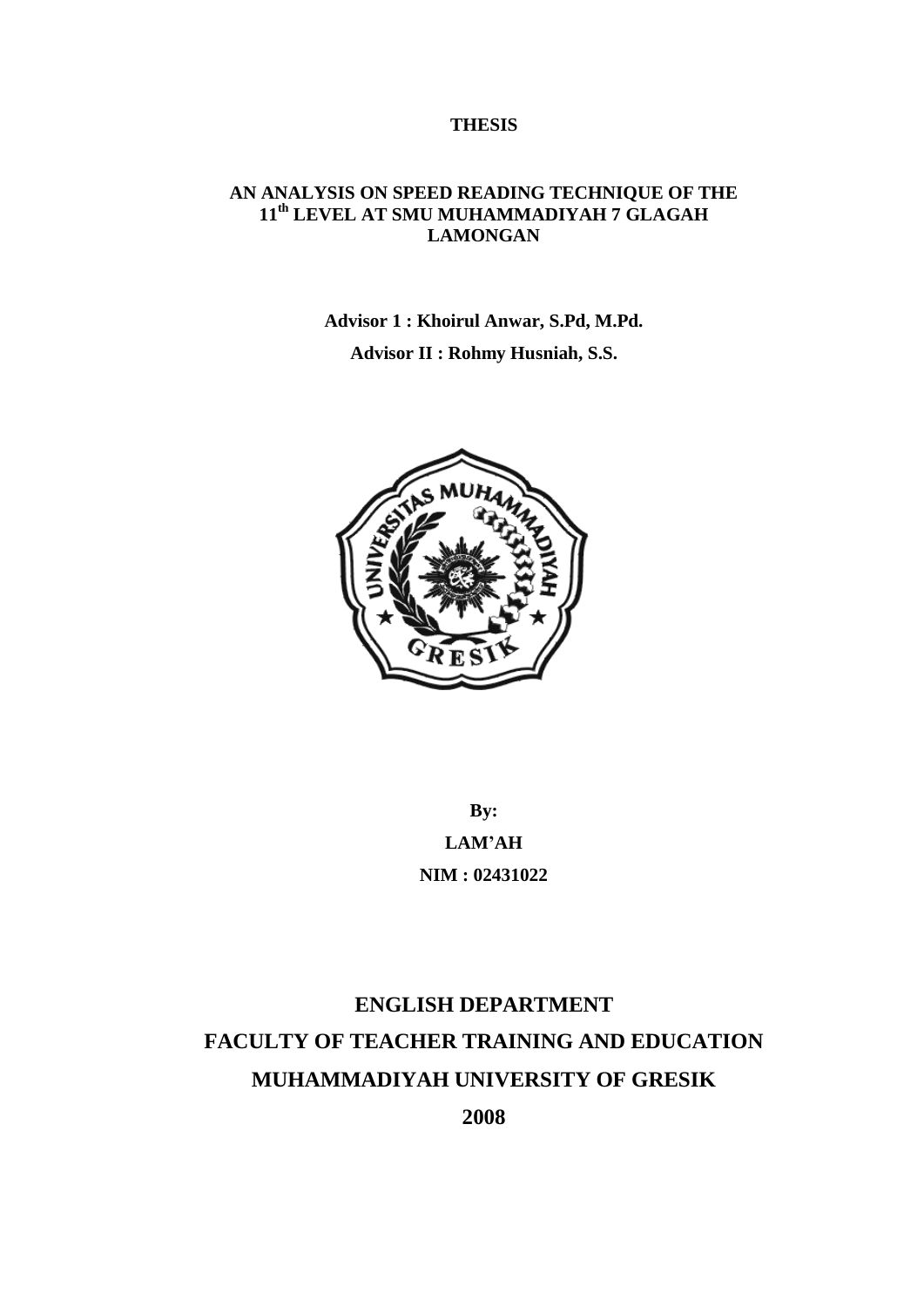#### **THESIS**

### **AN ANALYSIS ON SPEED READING TECHNIQUE OF THE 11th LEVEL AT SMU MUHAMMADIYAH 7 GLAGAH LAMONGAN**

**Advisor 1 : Khoirul Anwar, S.Pd, M.Pd.**

**Advisor II : Rohmy Husniah, S.S.**



**By: LAM'AH NIM : 02431022**

# **ENGLISH DEPARTMENT FACULTY OF TEACHER TRAINING AND EDUCATION MUHAMMADIYAH UNIVERSITY OF GRESIK 2008**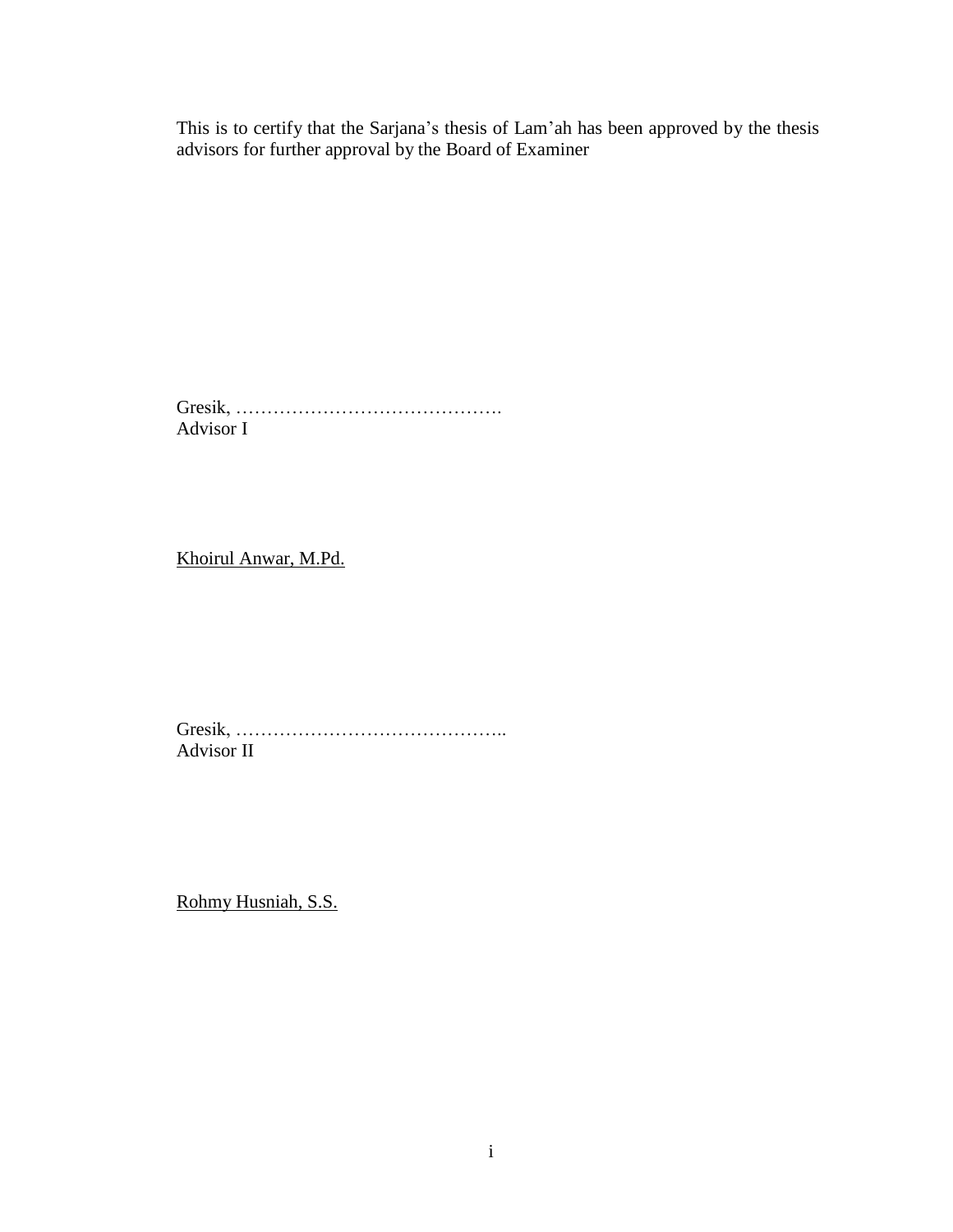This is to certify that the Sarjana's thesis of Lam'ah has been approved by the thesis advisors for further approval by the Board of Examiner

Gresik, ……………………………………. Advisor I

Khoirul Anwar, M.Pd.

Gresik, …………………………………….. Advisor II

Rohmy Husniah, S.S.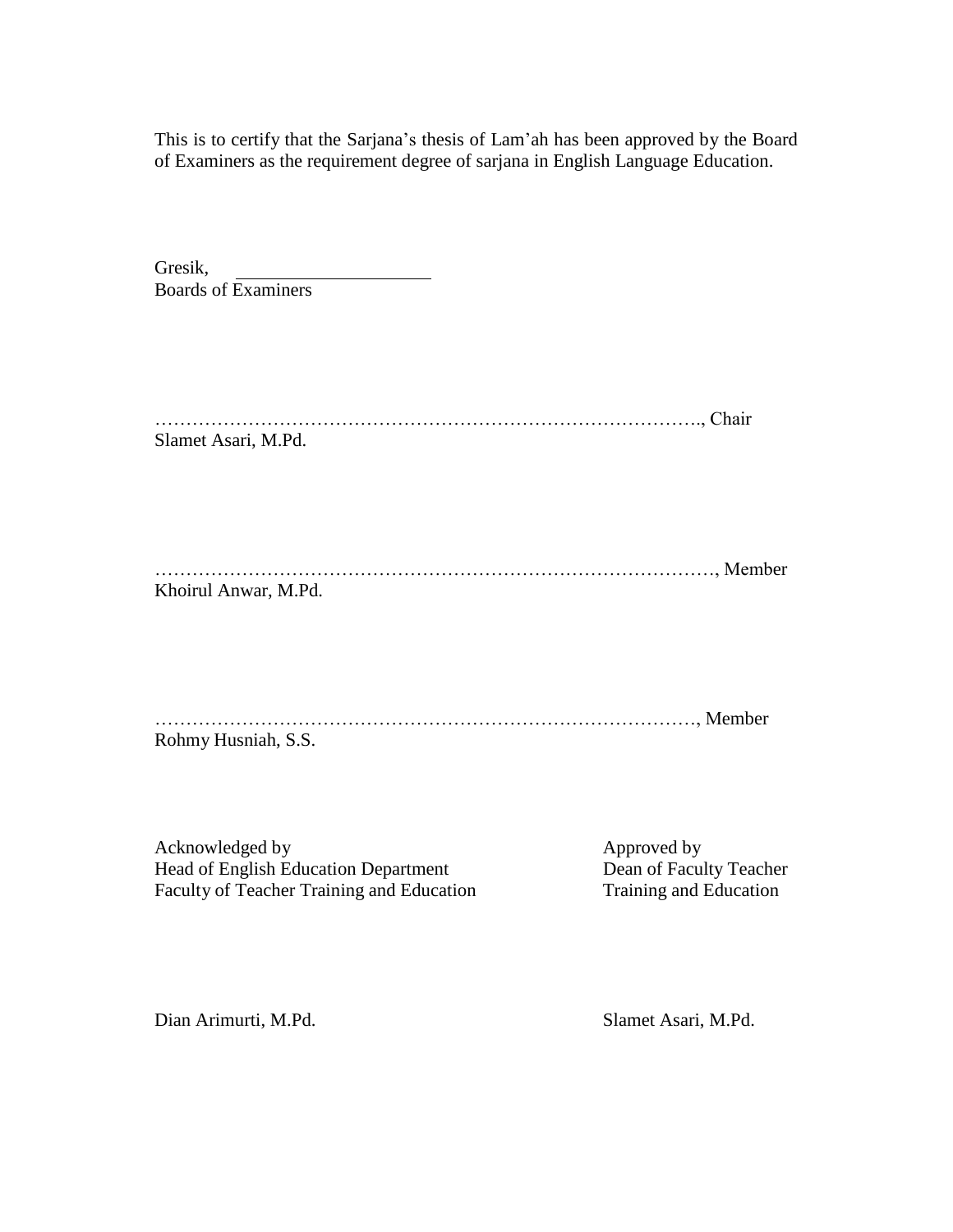This is to certify that the Sarjana's thesis of Lam'ah has been approved by the Board of Examiners as the requirement degree of sarjana in English Language Education.

| Gresik,                    |  |
|----------------------------|--|
| <b>Boards of Examiners</b> |  |

| Chair               |  |
|---------------------|--|
| Slamet Asari, M.Pd. |  |

| $M$ ember $\ldots$   |  |
|----------------------|--|
| Khoirul Anwar, M.Pd. |  |

……………………………………………………………………………, Member Rohmy Husniah, S.S.

Acknowledged by<br>
Head of English Education Department<br>
Dean of Faculty Teacher Head of English Education Department<br>
Faculty of Teacher Training and Education<br>
Training and Education<br>
Training and Education Faculty of Teacher Training and Education

Dian Arimurti, M.Pd. Slamet Asari, M.Pd.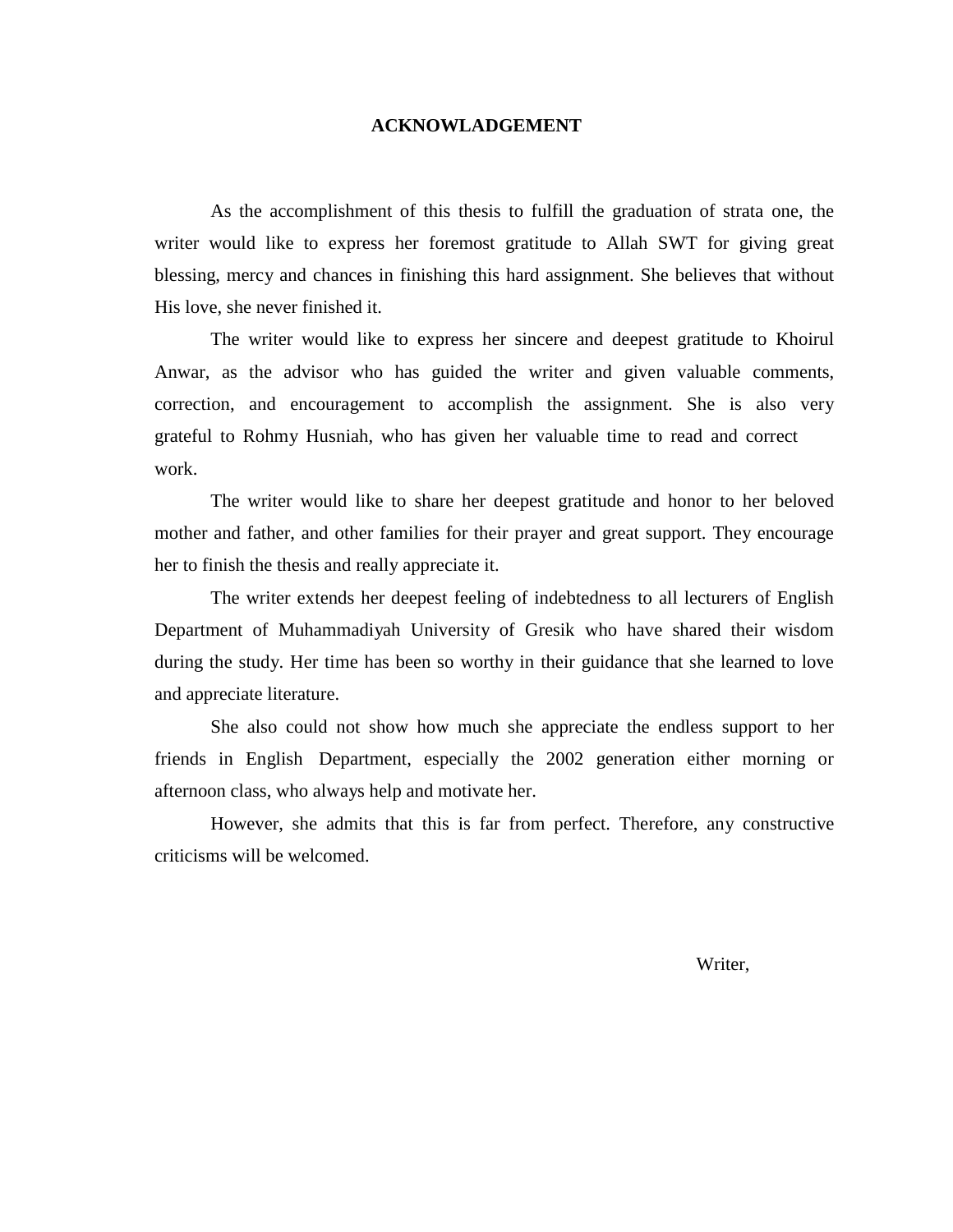#### **ACKNOWLADGEMENT**

As the accomplishment of this thesis to fulfill the graduation of strata one, the writer would like to express her foremost gratitude to Allah SWT for giving great blessing, mercy and chances in finishing this hard assignment. She believes that without His love, she never finished it.

The writer would like to express her sincere and deepest gratitude to Khoirul Anwar, as the advisor who has guided the writer and given valuable comments, correction, and encouragement to accomplish the assignment. She is also very grateful to Rohmy Husniah, who has given her valuable time to read and correct work.

The writer would like to share her deepest gratitude and honor to her beloved mother and father, and other families for their prayer and great support. They encourage her to finish the thesis and really appreciate it.

The writer extends her deepest feeling of indebtedness to all lecturers of English Department of Muhammadiyah University of Gresik who have shared their wisdom during the study. Her time has been so worthy in their guidance that she learned to love and appreciate literature.

She also could not show how much she appreciate the endless support to her friends in English Department, especially the 2002 generation either morning or afternoon class, who always help and motivate her.

However, she admits that this is far from perfect. Therefore, any constructive criticisms will be welcomed.

Writer,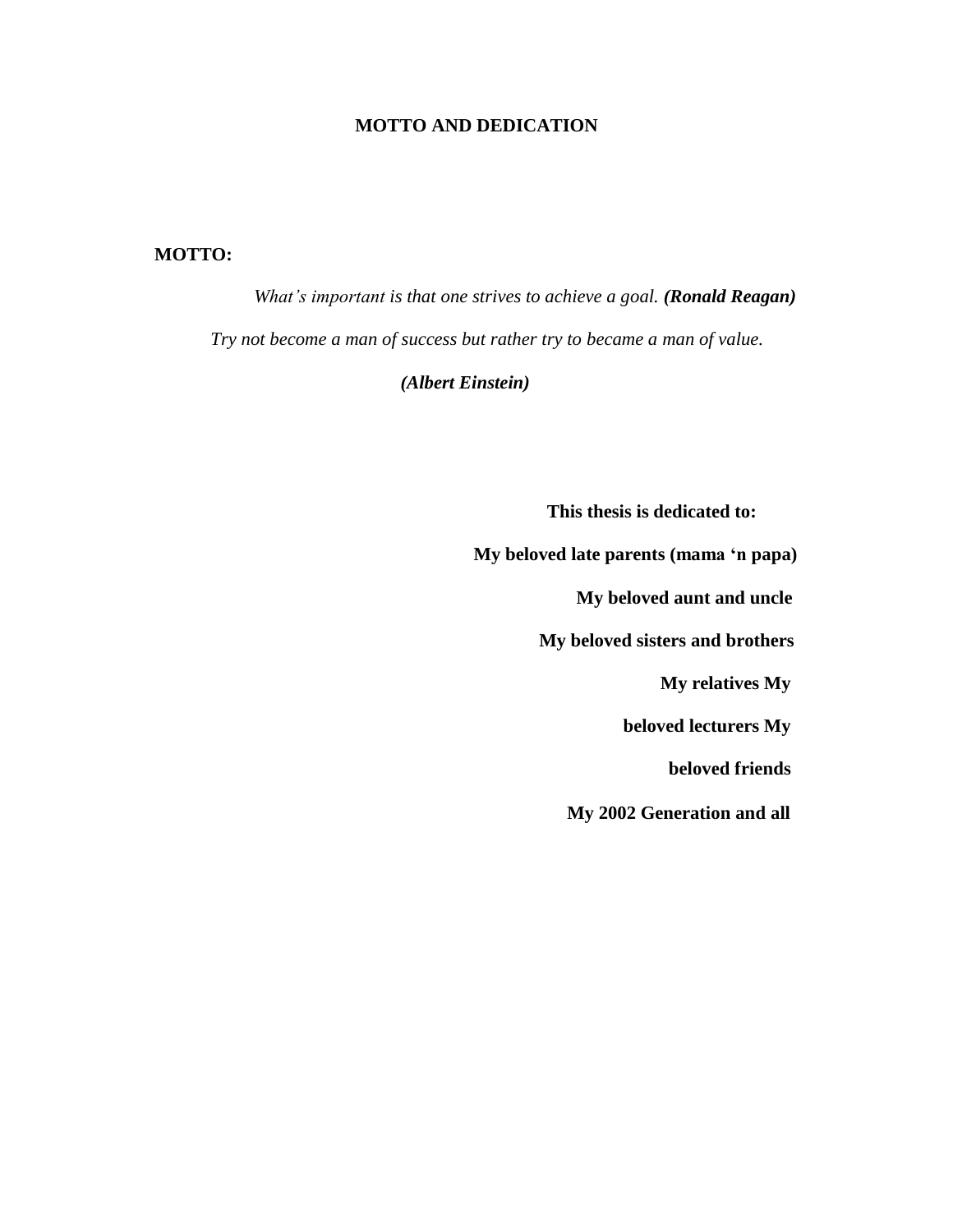#### **MOTTO AND DEDICATION**

#### **MOTTO:**

*What's important is that one strives to achieve a goal. (Ronald Reagan) Try not become a man of success but rather try to became a man of value.*

*(Albert Einstein)*

**This thesis is dedicated to:**

**My beloved late parents (mama 'n papa) My beloved aunt and uncle My beloved sisters and brothers**

**My relatives My**

**beloved lecturers My** 

**beloved friends**

**My 2002 Generation and all**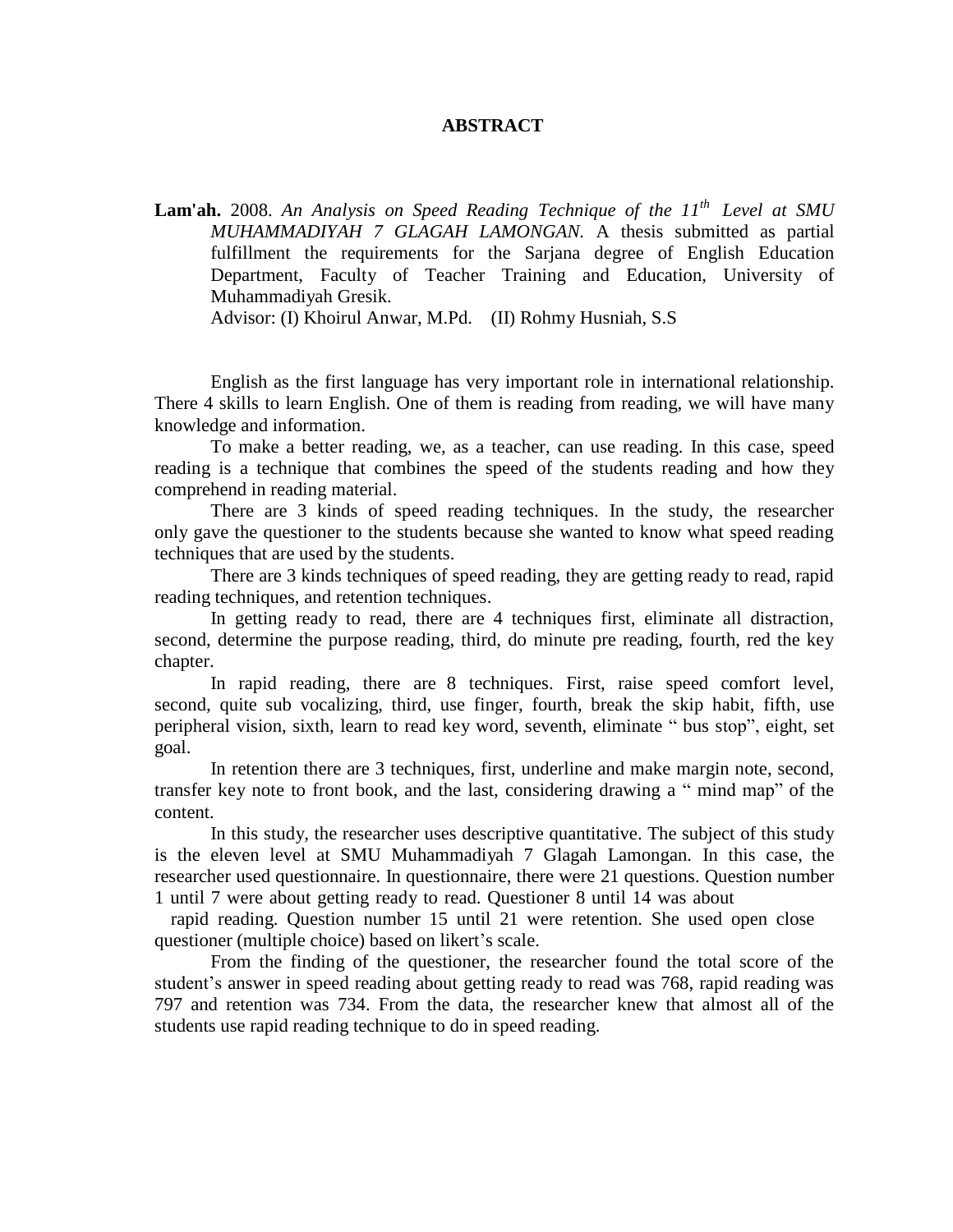#### **ABSTRACT**

**Lam'ah.** 2008. *An Analysis on Speed Reading Technique of the 11 th Level at SMU MUHAMMADIYAH 7 GLAGAH LAMONGAN.* A thesis submitted as partial fulfillment the requirements for the Sarjana degree of English Education Department, Faculty of Teacher Training and Education, University of Muhammadiyah Gresik.

Advisor: (I) Khoirul Anwar, M.Pd. (II) Rohmy Husniah, S.S

English as the first language has very important role in international relationship. There 4 skills to learn English. One of them is reading from reading, we will have many knowledge and information.

To make a better reading, we, as a teacher, can use reading. In this case, speed reading is a technique that combines the speed of the students reading and how they comprehend in reading material.

There are 3 kinds of speed reading techniques. In the study, the researcher only gave the questioner to the students because she wanted to know what speed reading techniques that are used by the students.

There are 3 kinds techniques of speed reading, they are getting ready to read, rapid reading techniques, and retention techniques.

In getting ready to read, there are 4 techniques first, eliminate all distraction, second, determine the purpose reading, third, do minute pre reading, fourth, red the key chapter.

In rapid reading, there are 8 techniques. First, raise speed comfort level, second, quite sub vocalizing, third, use finger, fourth, break the skip habit, fifth, use peripheral vision, sixth, learn to read key word, seventh, eliminate " bus stop", eight, set goal.

In retention there are 3 techniques, first, underline and make margin note, second, transfer key note to front book, and the last, considering drawing a " mind map" of the content.

In this study, the researcher uses descriptive quantitative. The subject of this study is the eleven level at SMU Muhammadiyah 7 Glagah Lamongan. In this case, the researcher used questionnaire. In questionnaire, there were 21 questions. Question number 1 until 7 were about getting ready to read. Questioner 8 until 14 was about

rapid reading. Question number 15 until 21 were retention. She used open close questioner (multiple choice) based on likert's scale.

From the finding of the questioner, the researcher found the total score of the student's answer in speed reading about getting ready to read was 768, rapid reading was 797 and retention was 734. From the data, the researcher knew that almost all of the students use rapid reading technique to do in speed reading.